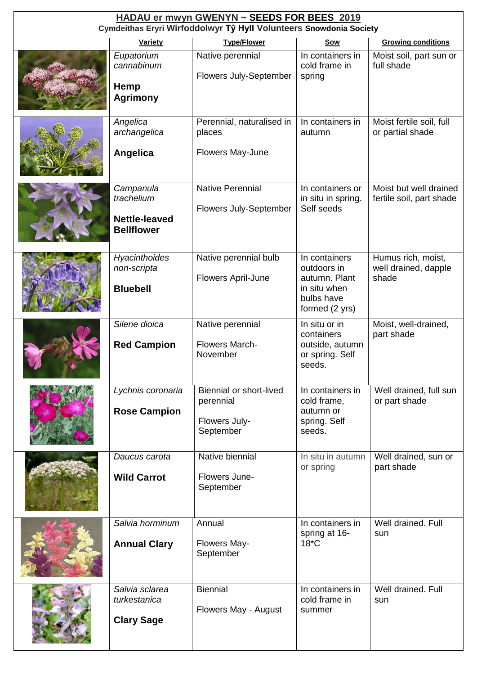| HADAU er mwyn GWENYN ~ SEEDS FOR BEES 2019<br>Cymdeithas Eryri Wirfoddolwyr Tŷ Hyll Volunteers Snowdonia Society |                                                                      |                                                                           |                                                                                               |                                                     |  |
|------------------------------------------------------------------------------------------------------------------|----------------------------------------------------------------------|---------------------------------------------------------------------------|-----------------------------------------------------------------------------------------------|-----------------------------------------------------|--|
|                                                                                                                  | <b>Variety</b>                                                       | <b>Type/Flower</b>                                                        | <b>Sow</b>                                                                                    | <b>Growing conditions</b>                           |  |
|                                                                                                                  | Eupatorium<br>cannabinum<br>Hemp<br><b>Agrimony</b>                  | Native perennial<br>Flowers July-September                                | In containers in<br>cold frame in<br>spring                                                   | Moist soil, part sun or<br>full shade               |  |
|                                                                                                                  | Angelica<br>archangelica<br><b>Angelica</b>                          | Perennial, naturalised in<br>places<br>Flowers May-June                   | In containers in<br>autumn                                                                    | Moist fertile soil, full<br>or partial shade        |  |
|                                                                                                                  | Campanula<br>trachelium<br><b>Nettle-leaved</b><br><b>Bellflower</b> | <b>Native Perennial</b><br><b>Flowers July-September</b>                  | In containers or<br>in situ in spring.<br>Self seeds                                          | Moist but well drained<br>fertile soil, part shade  |  |
|                                                                                                                  | Hyacinthoides<br>non-scripta<br><b>Bluebell</b>                      | Native perennial bulb<br>Flowers April-June                               | In containers<br>outdoors in<br>autumn. Plant<br>in situ when<br>bulbs have<br>formed (2 yrs) | Humus rich, moist,<br>well drained, dapple<br>shade |  |
|                                                                                                                  | Silene dioica<br><b>Red Campion</b>                                  | Native perennial<br><b>Flowers March-</b><br>November                     | In situ or in<br>containers<br>outside, autumn<br>or spring. Self<br>seeds.                   | Moist, well-drained,<br>part shade                  |  |
|                                                                                                                  | Lychnis coronaria<br><b>Rose Campion</b>                             | <b>Biennial or short-lived</b><br>perennial<br>Flowers July-<br>September | In containers in<br>cold frame,<br>autumn or<br>spring. Self<br>seeds.                        | Well drained, full sun<br>or part shade             |  |
|                                                                                                                  | Daucus carota<br><b>Wild Carrot</b>                                  | Native biennial<br>Flowers June-<br>September                             | In situ in autumn<br>or spring                                                                | Well drained, sun or<br>part shade                  |  |
|                                                                                                                  | Salvia horminum<br><b>Annual Clary</b>                               | Annual<br>Flowers May-<br>September                                       | In containers in<br>spring at 16-<br>$18*C$                                                   | Well drained. Full<br>sun                           |  |
|                                                                                                                  | Salvia sclarea<br>turkestanica<br><b>Clary Sage</b>                  | <b>Biennial</b><br>Flowers May - August                                   | In containers in<br>cold frame in<br>summer                                                   | Well drained. Full<br>sun                           |  |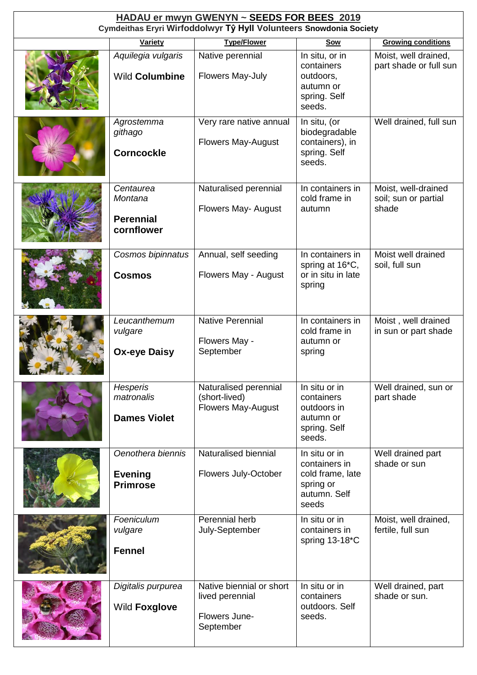| HADAU er mwyn GWENYN ~ SEEDS FOR BEES 2019<br>Cymdeithas Eryri Wirfoddolwyr Tŷ Hyll Volunteers Snowdonia Society |                                                        |                                                                           |                                                                                          |                                                      |  |
|------------------------------------------------------------------------------------------------------------------|--------------------------------------------------------|---------------------------------------------------------------------------|------------------------------------------------------------------------------------------|------------------------------------------------------|--|
| <b>Type/Flower</b><br><b>Growing conditions</b><br><b>Variety</b><br><b>Sow</b>                                  |                                                        |                                                                           |                                                                                          |                                                      |  |
|                                                                                                                  | Aquilegia vulgaris<br><b>Wild Columbine</b>            | Native perennial<br>Flowers May-July                                      | In situ, or in<br>containers<br>outdoors,<br>autumn or<br>spring. Self<br>seeds.         | Moist, well drained,<br>part shade or full sun       |  |
|                                                                                                                  | Agrostemma<br>githago<br><b>Corncockle</b>             | Very rare native annual<br><b>Flowers May-August</b>                      | In situ, (or<br>biodegradable<br>containers), in<br>spring. Self<br>seeds.               | Well drained, full sun                               |  |
|                                                                                                                  | Centaurea<br>Montana<br><b>Perennial</b><br>cornflower | Naturalised perennial<br>Flowers May- August                              | In containers in<br>cold frame in<br>autumn                                              | Moist, well-drained<br>soil; sun or partial<br>shade |  |
|                                                                                                                  | Cosmos bipinnatus<br><b>Cosmos</b>                     | Annual, self seeding<br>Flowers May - August                              | In containers in<br>spring at 16 <sup>*</sup> C,<br>or in situ in late<br>spring         | Moist well drained<br>soil, full sun                 |  |
|                                                                                                                  | Leucanthemum<br>vulgare<br><b>Ox-eye Daisy</b>         | <b>Native Perennial</b><br>Flowers May -<br>September                     | In containers in<br>cold frame in<br>autumn or<br>spring                                 | Moist, well drained<br>in sun or part shade          |  |
|                                                                                                                  | <b>Hesperis</b><br>matronalis<br><b>Dames Violet</b>   | Naturalised perennial<br>(short-lived)<br><b>Flowers May-August</b>       | In situ or in<br>containers<br>outdoors in<br>autumn or<br>spring. Self<br>seeds.        | Well drained, sun or<br>part shade                   |  |
|                                                                                                                  | Oenothera biennis<br><b>Evening</b><br><b>Primrose</b> | Naturalised biennial<br>Flowers July-October                              | In situ or in<br>containers in<br>cold frame, late<br>spring or<br>autumn. Self<br>seeds | Well drained part<br>shade or sun                    |  |
|                                                                                                                  | Foeniculum<br>vulgare<br><b>Fennel</b>                 | Perennial herb<br>July-September                                          | In situ or in<br>containers in<br>spring 13-18*C                                         | Moist, well drained,<br>fertile, full sun            |  |
|                                                                                                                  | Digitalis purpurea<br>Wild Foxglove                    | Native biennial or short<br>lived perennial<br>Flowers June-<br>September | In situ or in<br>containers<br>outdoors. Self<br>seeds.                                  | Well drained, part<br>shade or sun.                  |  |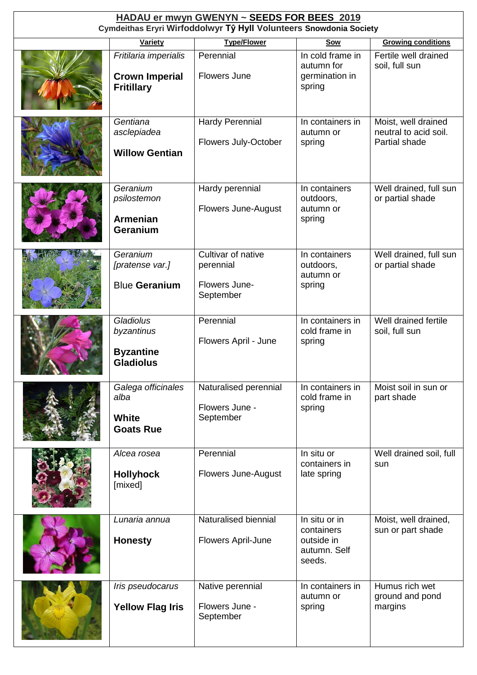| HADAU er mwyn GWENYN ~ SEEDS FOR BEES 2019<br>Cymdeithas Eryri Wirfoddolwyr Tŷ Hyll Volunteers Snowdonia Society |                                                                     |                                                               |                                                                     |                                                               |  |
|------------------------------------------------------------------------------------------------------------------|---------------------------------------------------------------------|---------------------------------------------------------------|---------------------------------------------------------------------|---------------------------------------------------------------|--|
|                                                                                                                  | <b>Variety</b>                                                      | <b>Type/Flower</b>                                            | <b>Sow</b>                                                          | <b>Growing conditions</b>                                     |  |
|                                                                                                                  | Fritilaria imperialis<br><b>Crown Imperial</b><br><b>Fritillary</b> | Perennial<br><b>Flowers June</b>                              | In cold frame in<br>autumn for<br>germination in<br>spring          | Fertile well drained<br>soil, full sun                        |  |
|                                                                                                                  | Gentiana<br>asclepiadea<br><b>Willow Gentian</b>                    | <b>Hardy Perennial</b><br>Flowers July-October                | In containers in<br>autumn or<br>spring                             | Moist, well drained<br>neutral to acid soil.<br>Partial shade |  |
|                                                                                                                  | Geranium<br>psilostemon<br><b>Armenian</b><br>Geranium              | Hardy perennial<br>Flowers June-August                        | In containers<br>outdoors,<br>autumn or<br>spring                   | Well drained, full sun<br>or partial shade                    |  |
|                                                                                                                  | Geranium<br>[pratense var.]<br><b>Blue Geranium</b>                 | Cultivar of native<br>perennial<br>Flowers June-<br>September | In containers<br>outdoors,<br>autumn or<br>spring                   | Well drained, full sun<br>or partial shade                    |  |
|                                                                                                                  | Gladiolus<br>byzantinus<br><b>Byzantine</b><br><b>Gladiolus</b>     | Perennial<br>Flowers April - June                             | In containers in<br>cold frame in<br>spring                         | Well drained fertile<br>soil, full sun                        |  |
|                                                                                                                  | Galega officinales<br>alba<br>White<br><b>Goats Rue</b>             | Naturalised perennial<br>Flowers June -<br>September          | In containers in<br>cold frame in<br>spring                         | Moist soil in sun or<br>part shade                            |  |
|                                                                                                                  | Alcea rosea<br><b>Hollyhock</b><br>[mixed]                          | Perennial<br>Flowers June-August                              | In situ or<br>containers in<br>late spring                          | Well drained soil, full<br>sun                                |  |
|                                                                                                                  | Lunaria annua<br><b>Honesty</b>                                     | Naturalised biennial<br>Flowers April-June                    | In situ or in<br>containers<br>outside in<br>autumn. Self<br>seeds. | Moist, well drained,<br>sun or part shade                     |  |
|                                                                                                                  | Iris pseudocarus<br><b>Yellow Flag Iris</b>                         | Native perennial<br>Flowers June -<br>September               | In containers in<br>autumn or<br>spring                             | Humus rich wet<br>ground and pond<br>margins                  |  |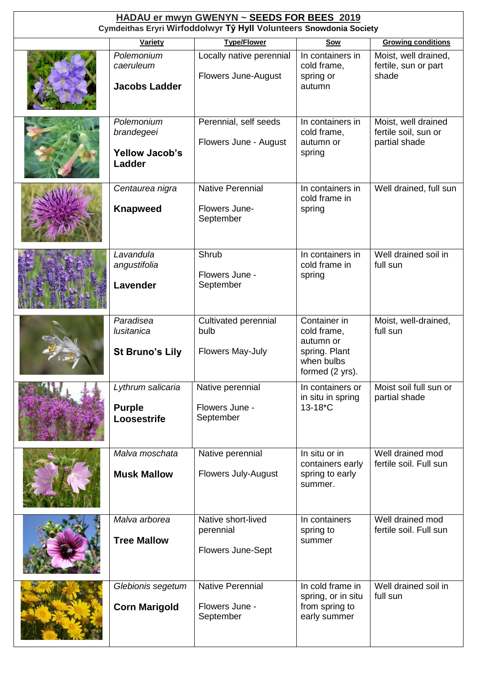| HADAU er mwyn GWENYN ~ SEEDS FOR BEES 2019<br>Cymdeithas Eryri Wirfoddolwyr Tŷ Hyll Volunteers Snowdonia Society |                                                             |                                                             |                                                                                            |                                                              |  |
|------------------------------------------------------------------------------------------------------------------|-------------------------------------------------------------|-------------------------------------------------------------|--------------------------------------------------------------------------------------------|--------------------------------------------------------------|--|
|                                                                                                                  | <b>Variety</b>                                              | <b>Type/Flower</b>                                          | <b>Sow</b>                                                                                 | <b>Growing conditions</b>                                    |  |
|                                                                                                                  | Polemonium<br>caeruleum<br><b>Jacobs Ladder</b>             | Locally native perennial<br>Flowers June-August             | In containers in<br>cold frame,<br>spring or<br>autumn                                     | Moist, well drained,<br>fertile, sun or part<br>shade        |  |
|                                                                                                                  | Polemonium<br>brandegeei<br><b>Yellow Jacob's</b><br>Ladder | Perennial, self seeds<br>Flowers June - August              | In containers in<br>cold frame,<br>autumn or<br>spring                                     | Moist, well drained<br>fertile soil, sun or<br>partial shade |  |
|                                                                                                                  | Centaurea nigra<br><b>Knapweed</b>                          | <b>Native Perennial</b><br>Flowers June-<br>September       | In containers in<br>cold frame in<br>spring                                                | Well drained, full sun                                       |  |
|                                                                                                                  | Lavandula<br>angustifolia<br>Lavender                       | Shrub<br>Flowers June -<br>September                        | In containers in<br>cold frame in<br>spring                                                | Well drained soil in<br>full sun                             |  |
|                                                                                                                  | Paradisea<br>lusitanica<br><b>St Bruno's Lily</b>           | Cultivated perennial<br>bulb<br>Flowers May-July            | Container in<br>cold frame,<br>autumn or<br>spring. Plant<br>when bulbs<br>formed (2 yrs). | Moist, well-drained,<br>full sun                             |  |
|                                                                                                                  | Lythrum salicaria<br><b>Purple</b><br>Loosestrife           | Native perennial<br>Flowers June -<br>September             | In containers or<br>in situ in spring<br>13-18*C                                           | Moist soil full sun or<br>partial shade                      |  |
|                                                                                                                  | Malva moschata<br><b>Musk Mallow</b>                        | Native perennial<br><b>Flowers July-August</b>              | In situ or in<br>containers early<br>spring to early<br>summer.                            | Well drained mod<br>fertile soil. Full sun                   |  |
|                                                                                                                  | Malva arborea<br><b>Tree Mallow</b>                         | Native short-lived<br>perennial<br><b>Flowers June-Sept</b> | In containers<br>spring to<br>summer                                                       | Well drained mod<br>fertile soil. Full sun                   |  |
|                                                                                                                  | Glebionis segetum<br><b>Corn Marigold</b>                   | <b>Native Perennial</b><br>Flowers June -<br>September      | In cold frame in<br>spring, or in situ<br>from spring to<br>early summer                   | Well drained soil in<br>full sun                             |  |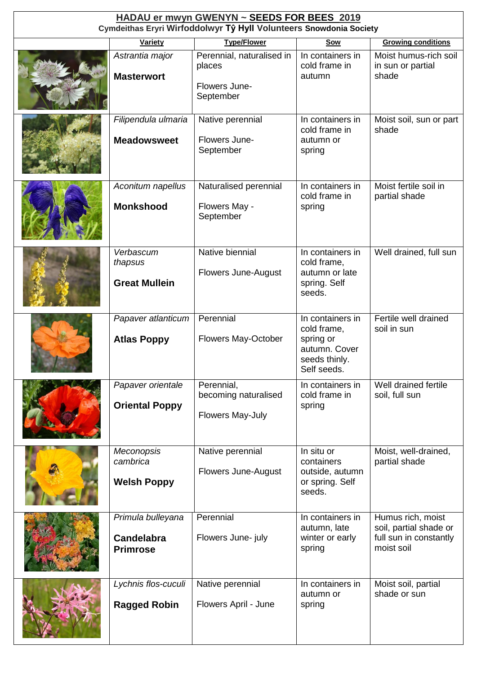| HADAU er mwyn GWENYN ~ SEEDS FOR BEES 2019<br>Cymdeithas Eryri Wirfoddolwyr Tŷ Hyll Volunteers Snowdonia Society |                                                           |                                                                   |                                                                                               |                                                                                     |  |
|------------------------------------------------------------------------------------------------------------------|-----------------------------------------------------------|-------------------------------------------------------------------|-----------------------------------------------------------------------------------------------|-------------------------------------------------------------------------------------|--|
|                                                                                                                  | <b>Variety</b>                                            | <b>Type/Flower</b>                                                | Sow                                                                                           | <b>Growing conditions</b>                                                           |  |
|                                                                                                                  | Astrantia major<br><b>Masterwort</b>                      | Perennial, naturalised in<br>places<br>Flowers June-<br>September | In containers in<br>cold frame in<br>autumn                                                   | Moist humus-rich soil<br>in sun or partial<br>shade                                 |  |
|                                                                                                                  | Filipendula ulmaria<br><b>Meadowsweet</b>                 | Native perennial<br>Flowers June-<br>September                    | In containers in<br>cold frame in<br>autumn or<br>spring                                      | Moist soil, sun or part<br>shade                                                    |  |
|                                                                                                                  | Aconitum napellus<br><b>Monkshood</b>                     | Naturalised perennial<br>Flowers May -<br>September               | In containers in<br>cold frame in<br>spring                                                   | Moist fertile soil in<br>partial shade                                              |  |
|                                                                                                                  | Verbascum<br>thapsus<br><b>Great Mullein</b>              | Native biennial<br>Flowers June-August                            | In containers in<br>cold frame,<br>autumn or late<br>spring. Self<br>seeds.                   | Well drained, full sun                                                              |  |
|                                                                                                                  | Papaver atlanticum<br><b>Atlas Poppy</b>                  | Perennial<br><b>Flowers May-October</b>                           | In containers in<br>cold frame,<br>spring or<br>autumn. Cover<br>seeds thinly.<br>Self seeds. | Fertile well drained<br>soil in sun                                                 |  |
|                                                                                                                  | Papaver orientale<br><b>Oriental Poppy</b>                | Perennial,<br>becoming naturalised<br>Flowers May-July            | In containers in<br>cold frame in<br>spring                                                   | Well drained fertile<br>soil, full sun                                              |  |
|                                                                                                                  | Meconopsis<br>cambrica<br><b>Welsh Poppy</b>              | Native perennial<br>Flowers June-August                           | In situ or<br>containers<br>outside, autumn<br>or spring. Self<br>seeds.                      | Moist, well-drained,<br>partial shade                                               |  |
|                                                                                                                  | Primula bulleyana<br><b>Candelabra</b><br><b>Primrose</b> | Perennial<br>Flowers June- july                                   | In containers in<br>autumn, late<br>winter or early<br>spring                                 | Humus rich, moist<br>soil, partial shade or<br>full sun in constantly<br>moist soil |  |
|                                                                                                                  | Lychnis flos-cuculi<br><b>Ragged Robin</b>                | Native perennial<br>Flowers April - June                          | In containers in<br>autumn or<br>spring                                                       | Moist soil, partial<br>shade or sun                                                 |  |